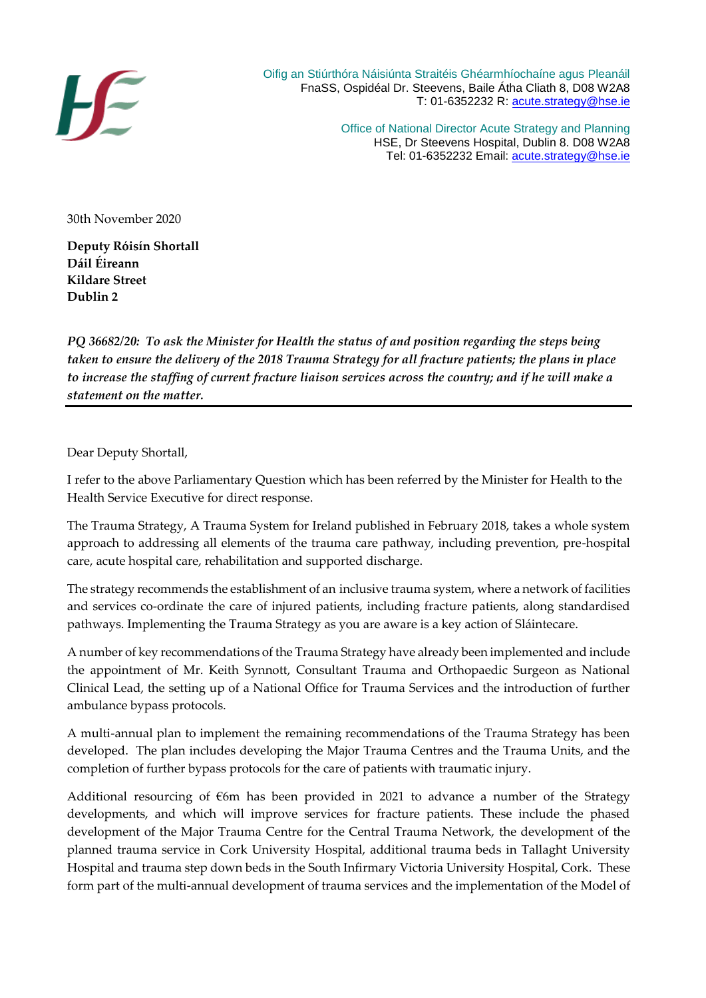

 Oifig an Stiúrthóra Náisiúnta Straitéis Ghéarmhíochaíne agus Pleanáil FnaSS, Ospidéal Dr. Steevens, Baile Átha Cliath 8, D08 W2A8 T: 01-6352232 R: [acute.strategy@hse.ie](mailto:acute.strategy@hse.ie)

> Office of National Director Acute Strategy and Planning HSE, Dr Steevens Hospital, Dublin 8. D08 W2A8 Tel: 01-6352232 Email: [acute.strategy@hse.ie](mailto:acute.strategy@hse.ie)

30th November 2020

**Deputy Róisín Shortall Dáil Éireann Kildare Street Dublin 2**

*PQ 36682/20: To ask the Minister for Health the status of and position regarding the steps being taken to ensure the delivery of the 2018 Trauma Strategy for all fracture patients; the plans in place to increase the staffing of current fracture liaison services across the country; and if he will make a statement on the matter.* 

Dear Deputy Shortall,

I refer to the above Parliamentary Question which has been referred by the Minister for Health to the Health Service Executive for direct response.

The Trauma Strategy, A Trauma System for Ireland published in February 2018, takes a whole system approach to addressing all elements of the trauma care pathway, including prevention, pre-hospital care, acute hospital care, rehabilitation and supported discharge.

The strategy recommends the establishment of an inclusive trauma system, where a network of facilities and services co-ordinate the care of injured patients, including fracture patients, along standardised pathways. Implementing the Trauma Strategy as you are aware is a key action of Sláintecare.

A number of key recommendations of the Trauma Strategy have already been implemented and include the appointment of Mr. Keith Synnott, Consultant Trauma and Orthopaedic Surgeon as National Clinical Lead, the setting up of a National Office for Trauma Services and the introduction of further ambulance bypass protocols.

A multi-annual plan to implement the remaining recommendations of the Trauma Strategy has been developed. The plan includes developing the Major Trauma Centres and the Trauma Units, and the completion of further bypass protocols for the care of patients with traumatic injury.

Additional resourcing of  $\epsilon$ 6m has been provided in 2021 to advance a number of the Strategy developments, and which will improve services for fracture patients. These include the phased development of the Major Trauma Centre for the Central Trauma Network, the development of the planned trauma service in Cork University Hospital, additional trauma beds in Tallaght University Hospital and trauma step down beds in the South Infirmary Victoria University Hospital, Cork. These form part of the multi-annual development of trauma services and the implementation of the Model of